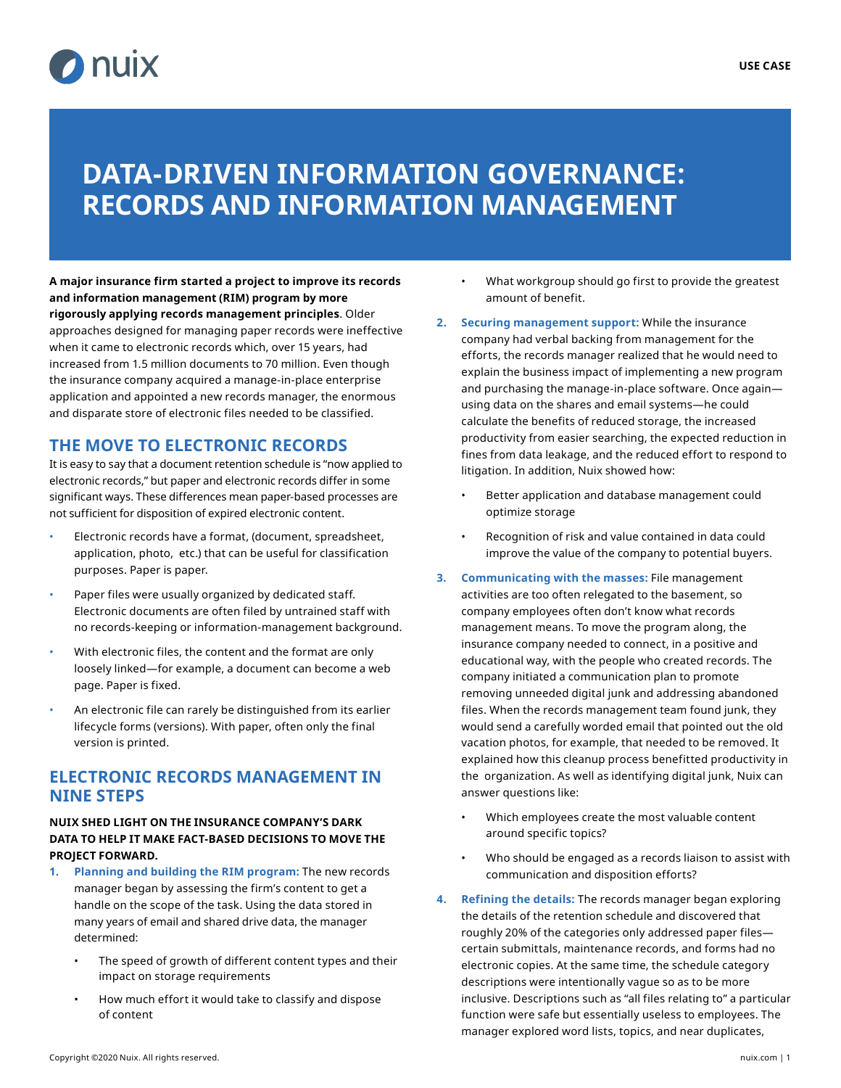

# **DATA-DRIVEN INFORMATION GOVERNANCE: RECORDS AND INFORMATION MANAGEMENT**

**A major insurance firm started a project to improve its records and information management (RIM) program by more rigorously applying records management principles**. Older approaches designed for managing paper records were ineffective when it came to electronic records which, over 15 years, had increased from 1.5 million documents to 70 million. Even though the insurance company acquired a manage-in-place enterprise application and appointed a new records manager, the enormous and disparate store of electronic files needed to be classified.

### **THE MOVE TO ELECTRONIC RECORDS**

It is easy to say that a document retention schedule is "now applied to electronic records," but paper and electronic records differ in some significant ways. These differences mean paper-based processes are not sufficient for disposition of expired electronic content.

- Electronic records have a format, (document, spreadsheet, application, photo, etc.) that can be useful for classification purposes. Paper is paper.
- Paper files were usually organized by dedicated staff. Electronic documents are often filed by untrained staff with no records-keeping or information-management background.
- With electronic files, the content and the format are only loosely linked—for example, a document can become a web page. Paper is fixed.
- An electronic file can rarely be distinguished from its earlier lifecycle forms (versions). With paper, often only the final version is printed.

#### **ELECTRONIC RECORDS MANAGEMENT IN NINE STEPS**

#### **NUIX SHED LIGHT ON THE INSURANCE COMPANY'S DARK DATA TO HELP IT MAKE FACT-BASED DECISIONS TO MOVE THE PROJECT FORWARD.**

- **1. Planning and building the RIM program:** The new records manager began by assessing the firm's content to get a handle on the scope of the task. Using the data stored in many years of email and shared drive data, the manager determined:
	- The speed of growth of different content types and their impact on storage requirements
	- How much effort it would take to classify and dispose of content
- What workgroup should go first to provide the greatest amount of benefit.
- **2. Securing management support:** While the insurance company had verbal backing from management for the efforts, the records manager realized that he would need to explain the business impact of implementing a new program and purchasing the manage-in-place software. Once again using data on the shares and email systems—he could calculate the benefits of reduced storage, the increased productivity from easier searching, the expected reduction in fines from data leakage, and the reduced effort to respond to litigation. In addition, Nuix showed how:
	- Better application and database management could optimize storage
	- Recognition of risk and value contained in data could improve the value of the company to potential buyers.
- **3. Communicating with the masses:** File management activities are too often relegated to the basement, so company employees often don't know what records management means. To move the program along, the insurance company needed to connect, in a positive and educational way, with the people who created records. The company initiated a communication plan to promote removing unneeded digital junk and addressing abandoned files. When the records management team found junk, they would send a carefully worded email that pointed out the old vacation photos, for example, that needed to be removed. It explained how this cleanup process benefitted productivity in the organization. As well as identifying digital junk, Nuix can answer questions like:
	- Which employees create the most valuable content around specific topics?
	- Who should be engaged as a records liaison to assist with communication and disposition efforts?
- **4. Refining the details:** The records manager began exploring the details of the retention schedule and discovered that roughly 20% of the categories only addressed paper files certain submittals, maintenance records, and forms had no electronic copies. At the same time, the schedule category descriptions were intentionally vague so as to be more inclusive. Descriptions such as "all files relating to" a particular function were safe but essentially useless to employees. The manager explored word lists, topics, and near duplicates,